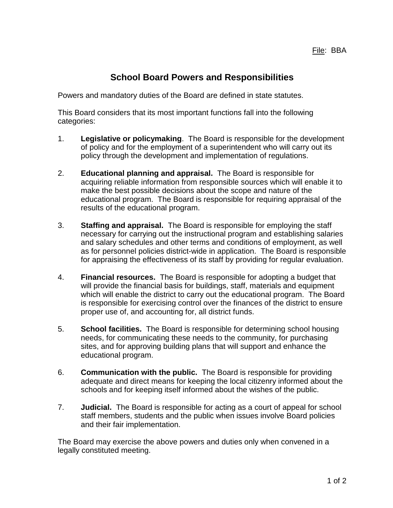## **School Board Powers and Responsibilities**

Powers and mandatory duties of the Board are defined in state statutes.

This Board considers that its most important functions fall into the following categories:

- 1. **Legislative or policymaking**. The Board is responsible for the development of policy and for the employment of a superintendent who will carry out its policy through the development and implementation of regulations.
- 2. **Educational planning and appraisal.** The Board is responsible for acquiring reliable information from responsible sources which will enable it to make the best possible decisions about the scope and nature of the educational program. The Board is responsible for requiring appraisal of the results of the educational program.
- 3. **Staffing and appraisal.** The Board is responsible for employing the staff necessary for carrying out the instructional program and establishing salaries and salary schedules and other terms and conditions of employment, as well as for personnel policies district-wide in application. The Board is responsible for appraising the effectiveness of its staff by providing for regular evaluation.
- 4. **Financial resources.** The Board is responsible for adopting a budget that will provide the financial basis for buildings, staff, materials and equipment which will enable the district to carry out the educational program. The Board is responsible for exercising control over the finances of the district to ensure proper use of, and accounting for, all district funds.
- 5. **School facilities.** The Board is responsible for determining school housing needs, for communicating these needs to the community, for purchasing sites, and for approving building plans that will support and enhance the educational program.
- 6. **Communication with the public.** The Board is responsible for providing adequate and direct means for keeping the local citizenry informed about the schools and for keeping itself informed about the wishes of the public.
- 7. **Judicial.** The Board is responsible for acting as a court of appeal for school staff members, students and the public when issues involve Board policies and their fair implementation.

The Board may exercise the above powers and duties only when convened in a legally constituted meeting.